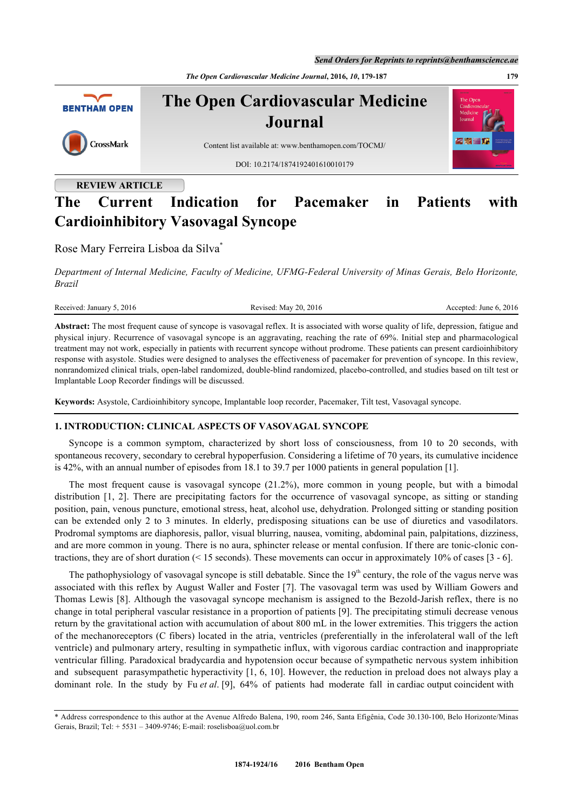*The Open Cardiovascular Medicine Journal***, 2016,** *10***, 179-187 179**



# **REVIEW ARTICLE**

# **The Current Indication for Pacemaker in Patients with Cardioinhibitory Vasovagal Syncope**

Rose Mary Ferreira Lisboa da Silva[\\*](#page-0-0)

*Department of Internal Medicine, Faculty of Medicine, UFMG-Federal University of Minas Gerais, Belo Horizonte, Brazil*

Received: January 5, 2016 Revised: May 20, 2016 Revised: May 20, 2016 Accepted: June 6, 2016

**Abstract:** The most frequent cause of syncope is vasovagal reflex. It is associated with worse quality of life, depression, fatigue and physical injury. Recurrence of vasovagal syncope is an aggravating, reaching the rate of 69%. Initial step and pharmacological treatment may not work, especially in patients with recurrent syncope without prodrome. These patients can present cardioinhibitory response with asystole. Studies were designed to analyses the effectiveness of pacemaker for prevention of syncope. In this review, nonrandomized clinical trials, open-label randomized, double-blind randomized, placebo-controlled, and studies based on tilt test or Implantable Loop Recorder findings will be discussed.

**Keywords:** Asystole, Cardioinhibitory syncope, Implantable loop recorder, Pacemaker, Tilt test, Vasovagal syncope.

# **1. INTRODUCTION: CLINICAL ASPECTS OF VASOVAGAL SYNCOPE**

Syncope is a common symptom, characterized by short loss of consciousness, from 10 to 20 seconds, with spontaneous recovery, secondary to cerebral hypoperfusion. Considering a lifetime of 70 years, its cumulative incidence is 42%, with an annual number of episodes from 18.1 to 39.7 per 1000 patients in general population [[1\]](#page-5-0).

The most frequent cause is vasovagal syncope (21.2%), more common in young people, but with a bimodal distribution [\[1,](#page-5-0) [2](#page-5-1)]. There are precipitating factors for the occurrence of vasovagal syncope, as sitting or standing position, pain, venous puncture, emotional stress, heat, alcohol use, dehydration. Prolonged sitting or standing position can be extended only 2 to 3 minutes. In elderly, predisposing situations can be use of diuretics and vasodilators. Prodromal symptoms are diaphoresis, pallor, visual blurring, nausea, vomiting, abdominal pain, palpitations, dizziness, and are more common in young. There is no aura, sphincter release or mental confusion. If there are tonic-clonic contractions, they are of short duration (< 15 seconds). These movements can occur in approximately 10% of cases [[3](#page-5-2) - [6](#page-5-3)].

The pathophysiology of vasovagal syncope is still debatable. Since the  $19<sup>th</sup>$  century, the role of the vagus nerve was associated with this reflex by August Waller and Foster [\[7](#page-5-4)]. The vasovagal term was used by William Gowers and Thomas Lewis [[8\]](#page-5-5). Although the vasovagal syncope mechanism is assigned to the Bezold-Jarish reflex, there is no change in total peripheral vascular resistance in a proportion of patients [\[9](#page-5-6)]. The precipitating stimuli decrease venous return by the gravitational action with accumulation of about 800 mL in the lower extremities. This triggers the action of the mechanoreceptors (C fibers) located in the atria, ventricles (preferentially in the inferolateral wall of the left ventricle) and pulmonary artery, resulting in sympathetic influx, with vigorous cardiac contraction and inappropriate ventricular filling. Paradoxical bradycardia and hypotension occur because of sympathetic nervous system inhibition and subsequent parasympathetic hyperactivity [\[1](#page-5-0), [6](#page-5-3), [10\]](#page-5-7). However, the reduction in preload does not always play a dominant role. In the study by Fu *et al*. [[9\]](#page-5-6), 64% of patients had moderate fall in cardiac output coincident with

<span id="page-0-0"></span><sup>\*</sup> Address correspondence to this author at the Avenue Alfredo Balena, 190, room 246, Santa Efigênia, Code 30.130-100, Belo Horizonte/Minas Gerais, Brazil; Tel:  $+ 5531 - 3409 - 9746$ ; E-mail: [roselisboa@uol.com.br](mailto:roselisboa@uol.com.br)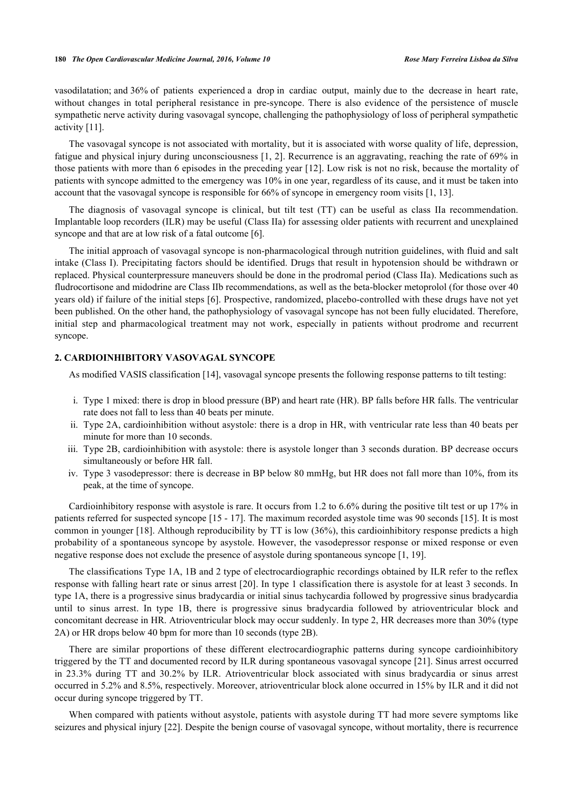vasodilatation; and 36% of patients experienced a drop in cardiac output, mainly due to the decrease in heart rate, without changes in total peripheral resistance in pre-syncope. There is also evidence of the persistence of muscle sympathetic nerve activity during vasovagal syncope, challenging the pathophysiology of loss of peripheral sympathetic activity [[11\]](#page-6-0).

The vasovagal syncope is not associated with mortality, but it is associated with worse quality of life, depression, fatigue and physical injury during unconsciousness [[1,](#page-5-0) [2\]](#page-5-1). Recurrence is an aggravating, reaching the rate of 69% in those patients with more than 6 episodes in the preceding year [[12\]](#page-6-1). Low risk is not no risk, because the mortality of patients with syncope admitted to the emergency was 10% in one year, regardless of its cause, and it must be taken into account that the vasovagal syncope is responsible for 66% of syncope in emergency room visits [[1,](#page-5-0) [13\]](#page-6-2).

The diagnosis of vasovagal syncope is clinical, but tilt test (TT) can be useful as class IIa recommendation. Implantable loop recorders (ILR) may be useful (Class IIa) for assessing older patients with recurrent and unexplained syncope and that are at low risk of a fatal outcome [\[6](#page-5-3)].

The initial approach of vasovagal syncope is non-pharmacological through nutrition guidelines, with fluid and salt intake (Class I). Precipitating factors should be identified. Drugs that result in hypotension should be withdrawn or replaced. Physical counterpressure maneuvers should be done in the prodromal period (Class IIa). Medications such as fludrocortisone and midodrine are Class IIb recommendations, as well as the beta-blocker metoprolol (for those over 40 years old) if failure of the initial steps [[6\]](#page-5-3). Prospective, randomized, placebo-controlled with these drugs have not yet been published. On the other hand, the pathophysiology of vasovagal syncope has not been fully elucidated. Therefore, initial step and pharmacological treatment may not work, especially in patients without prodrome and recurrent syncope.

# **2. CARDIOINHIBITORY VASOVAGAL SYNCOPE**

As modified VASIS classification [[14\]](#page-6-3), vasovagal syncope presents the following response patterns to tilt testing:

- i. Type 1 mixed: there is drop in blood pressure (BP) and heart rate (HR). BP falls before HR falls. The ventricular rate does not fall to less than 40 beats per minute.
- ii. Type 2A, cardioinhibition without asystole: there is a drop in HR, with ventricular rate less than 40 beats per minute for more than 10 seconds.
- iii. Type 2B, cardioinhibition with asystole: there is asystole longer than 3 seconds duration. BP decrease occurs simultaneously or before HR fall.
- iv. Type 3 vasodepressor: there is decrease in BP below 80 mmHg, but HR does not fall more than 10%, from its peak, at the time of syncope.

Cardioinhibitory response with asystole is rare. It occurs from 1.2 to 6.6% during the positive tilt test or up 17% in patients referred for suspected syncope [[15](#page-6-4) - [17](#page-6-5)]. The maximum recorded asystole time was 90 seconds [\[15](#page-6-4)]. It is most common in younger [[18](#page-6-6)]. Although reproducibility by TT is low (36%), this cardioinhibitory response predicts a high probability of a spontaneous syncope by asystole. However, the vasodepressor response or mixed response or even negative response does not exclude the presence of asystole during spontaneous syncope [\[1](#page-5-0), [19](#page-6-7)].

The classifications Type 1A, 1B and 2 type of electrocardiographic recordings obtained by ILR refer to the reflex response with falling heart rate or sinus arrest [\[20](#page-6-8)]. In type 1 classification there is asystole for at least 3 seconds. In type 1A, there is a progressive sinus bradycardia or initial sinus tachycardia followed by progressive sinus bradycardia until to sinus arrest. In type 1B, there is progressive sinus bradycardia followed by atrioventricular block and concomitant decrease in HR. Atrioventricular block may occur suddenly. In type 2, HR decreases more than 30% (type 2A) or HR drops below 40 bpm for more than 10 seconds (type 2B).

There are similar proportions of these different electrocardiographic patterns during syncope cardioinhibitory triggered by the TT and documented record by ILR during spontaneous vasovagal syncope [[21\]](#page-6-9). Sinus arrest occurred in 23.3% during TT and 30.2% by ILR. Atrioventricular block associated with sinus bradycardia or sinus arrest occurred in 5.2% and 8.5%, respectively. Moreover, atrioventricular block alone occurred in 15% by ILR and it did not occur during syncope triggered by TT.

When compared with patients without asystole, patients with asystole during TT had more severe symptoms like seizures and physical injury [\[22](#page-6-10)]. Despite the benign course of vasovagal syncope, without mortality, there is recurrence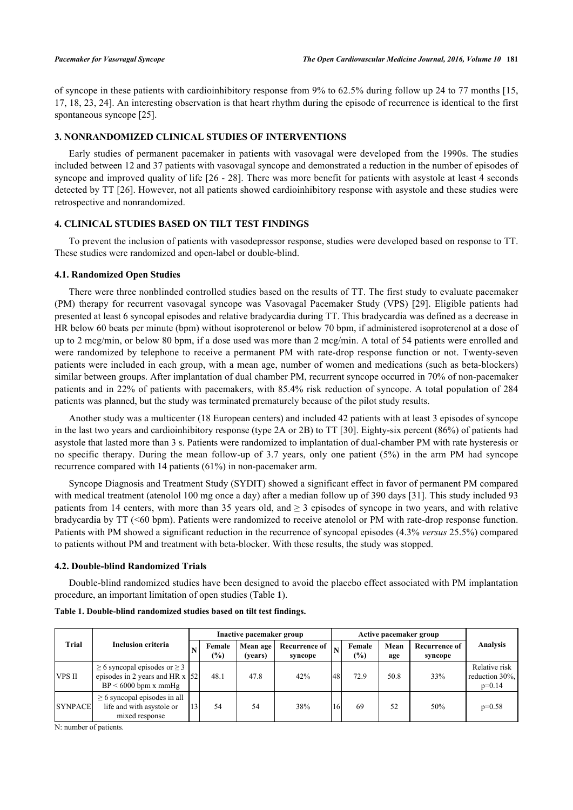of syncope in these patients with cardioinhibitory response from 9% to 62.5% during follow up 24 to 77 months [[15](#page-6-4), [17,](#page-6-5) [18](#page-6-6), [23,](#page-6-11) [24\]](#page-6-12). An interesting observation is that heart rhythm during the episode of recurrence is identical to the first spontaneous syncope [\[25](#page-6-13)].

# **3. NONRANDOMIZED CLINICAL STUDIES OF INTERVENTIONS**

Early studies of permanent pacemaker in patients with vasovagal were developed from the 1990s. The studies included between 12 and 37 patients with vasovagal syncope and demonstrated a reduction in the number of episodes of syncope and improved quality of life [[26](#page-6-14) - [28](#page-6-15)]. There was more benefit for patients with asystole at least 4 seconds detected by TT [[26](#page-6-14)]. However, not all patients showed cardioinhibitory response with asystole and these studies were retrospective and nonrandomized.

# **4. CLINICAL STUDIES BASED ON TILT TEST FINDINGS**

To prevent the inclusion of patients with vasodepressor response, studies were developed based on response to TT. These studies were randomized and open-label or double-blind.

# **4.1. Randomized Open Studies**

There were three nonblinded controlled studies based on the results of TT. The first study to evaluate pacemaker (PM) therapy for recurrent vasovagal syncope was Vasovagal Pacemaker Study (VPS)[[29\]](#page-6-16). Eligible patients had presented at least 6 syncopal episodes and relative bradycardia during TT. This bradycardia was defined as a decrease in HR below 60 beats per minute (bpm) without isoproterenol or below 70 bpm, if administered isoproterenol at a dose of up to 2 mcg/min, or below 80 bpm, if a dose used was more than 2 mcg/min. A total of 54 patients were enrolled and were randomized by telephone to receive a permanent PM with rate-drop response function or not. Twenty-seven patients were included in each group, with a mean age, number of women and medications (such as beta-blockers) similar between groups. After implantation of dual chamber PM, recurrent syncope occurred in 70% of non-pacemaker patients and in 22% of patients with pacemakers, with 85.4% risk reduction of syncope. A total population of 284 patients was planned, but the study was terminated prematurely because of the pilot study results.

Another study was a multicenter (18 European centers) and included 42 patients with at least 3 episodes of syncope in the last two years and cardioinhibitory response (type 2A or 2B) to TT [[30\]](#page-6-17). Eighty-six percent (86%) of patients had asystole that lasted more than 3 s. Patients were randomized to implantation of dual-chamber PM with rate hysteresis or no specific therapy. During the mean follow-up of 3.7 years, only one patient (5%) in the arm PM had syncope recurrence compared with 14 patients (61%) in non-pacemaker arm.

Syncope Diagnosis and Treatment Study (SYDIT) showed a significant effect in favor of permanent PM compared with medical treatment (atenolol 100 mg once a day) after a median follow up of 390 days [[31\]](#page-7-0). This study included 93 patients from 14 centers, with more than 35 years old, and  $\geq$  3 episodes of syncope in two years, and with relative bradycardia by TT (<60 bpm). Patients were randomized to receive atenolol or PM with rate-drop response function. Patients with PM showed a significant reduction in the recurrence of syncopal episodes (4.3% *versus* 25.5%) compared to patients without PM and treatment with beta-blocker. With these results, the study was stopped.

# **4.2. Double-blind Randomized Trials**

Double-blind randomized studies have been designed to avoid the placebo effect associated with PM implantation procedure, an important limitation of open studies (Table **[1](#page-2-0)**).

| <b>Trial</b>   | Inclusion criteria                                                                                      |    |               | Inactive pacemaker group |                          |     | Active pacemaker group  |             |                          |                                             |
|----------------|---------------------------------------------------------------------------------------------------------|----|---------------|--------------------------|--------------------------|-----|-------------------------|-------------|--------------------------|---------------------------------------------|
|                |                                                                                                         |    | Female<br>(%) | Mean age<br>(vears)      | Recurrence of<br>syncope |     | Female<br>$\frac{6}{2}$ | Mean<br>age | Recurrence of<br>syncope | Analysis                                    |
| <b>VPS II</b>  | $\geq$ 6 syncopal episodes or $\geq$ 3<br>episodes in 2 years and HR $x$ [52]<br>$BP < 6000$ bpm x mmHg |    | 48.1          | 47.8                     | 42%                      | 48  | 72.9                    | 50.8        | 33%                      | Relative risk<br>reduction 30%,<br>$p=0.14$ |
| <b>SYNPACE</b> | $\geq$ 6 syncopal episodes in all<br>life and with asystole or<br>mixed response                        | 13 | 54            | 54                       | 38%                      | -16 | 69                      | 52          | 50%                      | $p=0.58$                                    |

<span id="page-2-0"></span>**Table 1. Double-blind randomized studies based on tilt test findings.**

N: number of patients.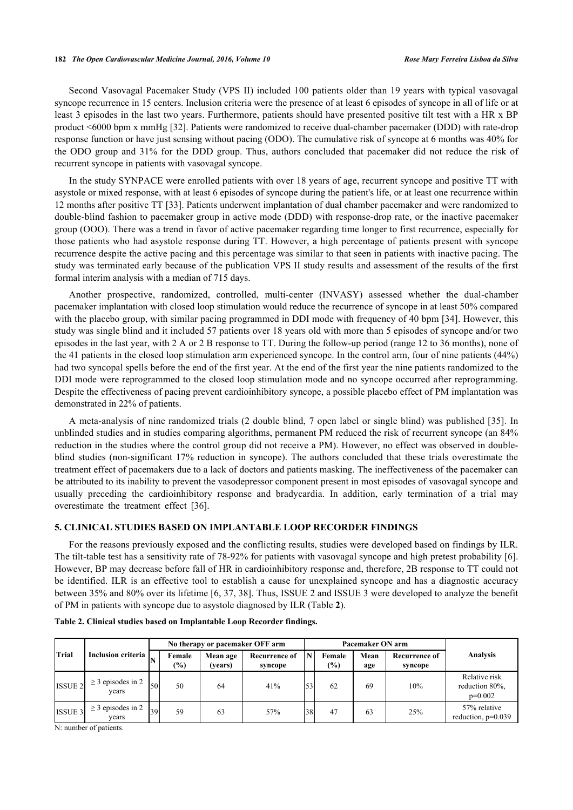Second Vasovagal Pacemaker Study (VPS II) included 100 patients older than 19 years with typical vasovagal syncope recurrence in 15 centers. Inclusion criteria were the presence of at least 6 episodes of syncope in all of life or at least 3 episodes in the last two years. Furthermore, patients should have presented positive tilt test with a HR x BP product <6000 bpm x mmHg [[32\]](#page-7-1). Patients were randomized to receive dual-chamber pacemaker (DDD) with rate-drop response function or have just sensing without pacing (ODO). The cumulative risk of syncope at 6 months was 40% for the ODO group and 31% for the DDD group. Thus, authors concluded that pacemaker did not reduce the risk of recurrent syncope in patients with vasovagal syncope.

In the study SYNPACE were enrolled patients with over 18 years of age, recurrent syncope and positive TT with asystole or mixed response, with at least 6 episodes of syncope during the patient's life, or at least one recurrence within 12 months after positive TT [\[33](#page-7-2)]. Patients underwent implantation of dual chamber pacemaker and were randomized to double-blind fashion to pacemaker group in active mode (DDD) with response-drop rate, or the inactive pacemaker group (OOO). There was a trend in favor of active pacemaker regarding time longer to first recurrence, especially for those patients who had asystole response during TT. However, a high percentage of patients present with syncope recurrence despite the active pacing and this percentage was similar to that seen in patients with inactive pacing. The study was terminated early because of the publication VPS II study results and assessment of the results of the first formal interim analysis with a median of 715 days.

Another prospective, randomized, controlled, multi-center (INVASY) assessed whether the dual-chamber pacemaker implantation with closed loop stimulation would reduce the recurrence of syncope in at least 50% compared with the placebo group, with similar pacing programmed in DDI mode with frequency of 40 bpm [\[34\]](#page-7-3). However, this study was single blind and it included 57 patients over 18 years old with more than 5 episodes of syncope and/or two episodes in the last year, with 2 A or 2 B response to TT. During the follow-up period (range 12 to 36 months), none of the 41 patients in the closed loop stimulation arm experienced syncope. In the control arm, four of nine patients (44%) had two syncopal spells before the end of the first year. At the end of the first year the nine patients randomized to the DDI mode were reprogrammed to the closed loop stimulation mode and no syncope occurred after reprogramming. Despite the effectiveness of pacing prevent cardioinhibitory syncope, a possible placebo effect of PM implantation was demonstrated in 22% of patients.

A meta-analysis of nine randomized trials (2 double blind, 7 open label or single blind) was published [\[35\]](#page-7-4). In unblinded studies and in studies comparing algorithms, permanent PM reduced the risk of recurrent syncope (an 84% reduction in the studies where the control group did not receive a PM). However, no effect was observed in doubleblind studies (non-significant 17% reduction in syncope). The authors concluded that these trials overestimate the treatment effect of pacemakers due to a lack of doctors and patients masking. The ineffectiveness of the pacemaker can be attributed to its inability to prevent the vasodepressor component present in most episodes of vasovagal syncope and usually preceding the cardioinhibitory response and bradycardia. In addition, early termination of a trial may overestimate the treatment effect[[36\]](#page-7-5).

# **5. CLINICAL STUDIES BASED ON IMPLANTABLE LOOP RECORDER FINDINGS**

For the reasons previously exposed and the conflicting results, studies were developed based on findings by ILR. The tilt-table test has a sensitivity rate of 78-92% for patients with vasovagal syncope and high pretest probability [[6\]](#page-5-3). However, BP may decrease before fall of HR in cardioinhibitory response and, therefore, 2B response to TT could not be identified. ILR is an effective tool to establish a cause for unexplained syncope and has a diagnostic accuracy between 35% and 80% over its lifetime [\[6](#page-5-3), [37,](#page-7-6) [38\]](#page-7-7). Thus, ISSUE 2 and ISSUE 3 were developed to analyze the benefit of PM in patients with syncope due to asystole diagnosed by ILR (Table **[2](#page-2-0)**).

| Trial              | <b>Inclusion criteria</b>       | No therapy or pacemaker OFF arm |                  |                     |                                 |    | Pacemaker ON arm |             |                                 |                                              |
|--------------------|---------------------------------|---------------------------------|------------------|---------------------|---------------------------------|----|------------------|-------------|---------------------------------|----------------------------------------------|
|                    |                                 |                                 | Female<br>$(\%)$ | Mean age<br>(vears) | <b>Recurrence of</b><br>syncope | N  | Female<br>$(\%)$ | Mean<br>age | <b>Recurrence of</b><br>syncope | <b>Analysis</b>                              |
| ISSUE <sub>2</sub> | $\geq$ 3 episodes in 2<br>vears | 50                              | 50               | 64                  | 41%                             | 53 | 62               | 69          | 10%                             | Relative risk<br>reduction 80%,<br>$p=0.002$ |
| ISSUE 3            | $\geq$ 3 episodes in 2<br>years | 39                              | 59               | 63                  | 57%                             | 38 | 47               | 63          | 25%                             | 57% relative<br>reduction, $p=0.039$         |

### **Table 2. Clinical studies based on Implantable Loop Recorder findings.**

N: number of patients.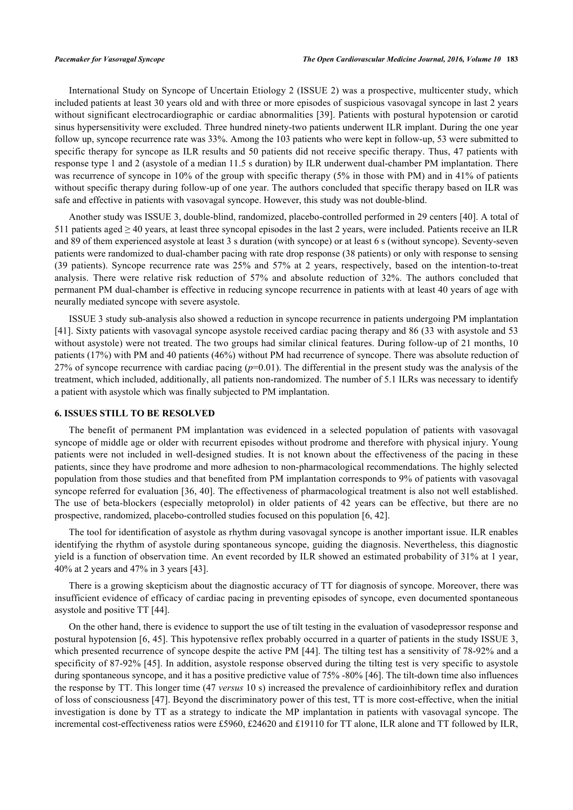International Study on Syncope of Uncertain Etiology 2 (ISSUE 2) was a prospective, multicenter study, which included patients at least 30 years old and with three or more episodes of suspicious vasovagal syncope in last 2 years without significant electrocardiographic or cardiac abnormalities [\[39](#page-7-8)]. Patients with postural hypotension or carotid sinus hypersensitivity were excluded. Three hundred ninety-two patients underwent ILR implant. During the one year follow up, syncope recurrence rate was 33%. Among the 103 patients who were kept in follow-up, 53 were submitted to specific therapy for syncope as ILR results and 50 patients did not receive specific therapy. Thus, 47 patients with response type 1 and 2 (asystole of a median 11.5 s duration) by ILR underwent dual-chamber PM implantation. There was recurrence of syncope in 10% of the group with specific therapy (5% in those with PM) and in 41% of patients without specific therapy during follow-up of one year. The authors concluded that specific therapy based on ILR was safe and effective in patients with vasovagal syncope. However, this study was not double-blind.

Another study was ISSUE 3, double-blind, randomized, placebo-controlled performed in 29 centers [\[40](#page-7-9)]. A total of 511 patients aged  $\geq$  40 years, at least three syncopal episodes in the last 2 years, were included. Patients receive an ILR and 89 of them experienced asystole at least 3 s duration (with syncope) or at least 6 s (without syncope). Seventy-seven patients were randomized to dual-chamber pacing with rate drop response (38 patients) or only with response to sensing (39 patients). Syncope recurrence rate was 25% and 57% at 2 years, respectively, based on the intention-to-treat analysis. There were relative risk reduction of 57% and absolute reduction of 32%. The authors concluded that permanent PM dual-chamber is effective in reducing syncope recurrence in patients with at least 40 years of age with neurally mediated syncope with severe asystole.

ISSUE 3 study sub-analysis also showed a reduction in syncope recurrence in patients undergoing PM implantation [\[41](#page-7-10)]. Sixty patients with vasovagal syncope asystole received cardiac pacing therapy and 86 (33 with asystole and 53 without asystole) were not treated. The two groups had similar clinical features. During follow-up of 21 months, 10 patients (17%) with PM and 40 patients (46%) without PM had recurrence of syncope. There was absolute reduction of 27% of syncope recurrence with cardiac pacing (*p*=0.01). The differential in the present study was the analysis of the treatment, which included, additionally, all patients non-randomized. The number of 5.1 ILRs was necessary to identify a patient with asystole which was finally subjected to PM implantation.

### **6. ISSUES STILL TO BE RESOLVED**

The benefit of permanent PM implantation was evidenced in a selected population of patients with vasovagal syncope of middle age or older with recurrent episodes without prodrome and therefore with physical injury. Young patients were not included in well-designed studies. It is not known about the effectiveness of the pacing in these patients, since they have prodrome and more adhesion to non-pharmacological recommendations. The highly selected population from those studies and that benefited from PM implantation corresponds to 9% of patients with vasovagal syncope referred for evaluation [[36](#page-7-5), [40\]](#page-7-9). The effectiveness of pharmacological treatment is also not well established. The use of beta-blockers (especially metoprolol) in older patients of 42 years can be effective, but there are no prospective, randomized, placebo-controlled studies focused on this population [\[6](#page-5-3), [42](#page-7-11)].

The tool for identification of asystole as rhythm during vasovagal syncope is another important issue. ILR enables identifying the rhythm of asystole during spontaneous syncope, guiding the diagnosis. Nevertheless, this diagnostic yield is a function of observation time. An event recorded by ILR showed an estimated probability of 31% at 1 year, 40% at 2 years and 47% in 3 years [[43\]](#page-7-12).

There is a growing skepticism about the diagnostic accuracy of TT for diagnosis of syncope. Moreover, there was insufficient evidence of efficacy of cardiac pacing in preventing episodes of syncope, even documented spontaneous asystole and positive TT [[44\]](#page-7-13).

On the other hand, there is evidence to support the use of tilt testing in the evaluation of vasodepressor response and postural hypotension [\[6](#page-5-3), [45\]](#page-7-14). This hypotensive reflex probably occurred in a quarter of patients in the study ISSUE 3, which presented recurrence of syncope despite the active PM [\[44](#page-7-13)]. The tilting test has a sensitivity of 78-92% and a specificity of 87-92% [[45](#page-7-14)]. In addition, asystole response observed during the tilting test is very specific to asystole during spontaneous syncope, and it has a positive predictive value of 75% -80% [[46\]](#page-7-15). The tilt-down time also influences the response by TT. This longer time (47 *versus* 10 s) increased the prevalence of cardioinhibitory reflex and duration of loss of consciousness [[47](#page-7-16)]. Beyond the discriminatory power of this test, TT is more cost-effective, when the initial investigation is done by TT as a strategy to indicate the MP implantation in patients with vasovagal syncope. The incremental cost-effectiveness ratios were £5960, £24620 and £19110 for TT alone, ILR alone and TT followed by ILR,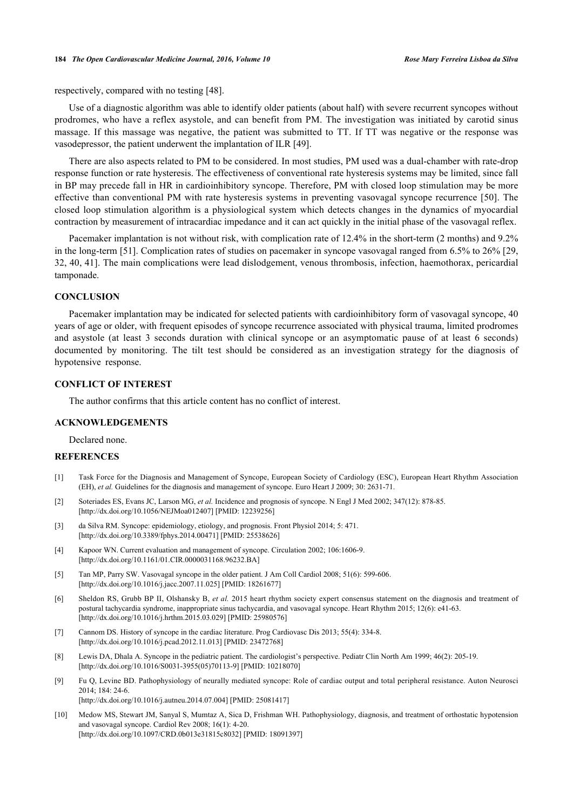#### **184** *The Open Cardiovascular Medicine Journal, 2016, Volume 10 Rose Mary Ferreira Lisboa da Silva*

respectively, compared with no testing [\[48](#page-7-17)].

Use of a diagnostic algorithm was able to identify older patients (about half) with severe recurrent syncopes without prodromes, who have a reflex asystole, and can benefit from PM. The investigation was initiated by carotid sinus massage. If this massage was negative, the patient was submitted to TT. If TT was negative or the response was vasodepressor, the patient underwent the implantation of ILR [\[49](#page-7-18)].

There are also aspects related to PM to be considered. In most studies, PM used was a dual-chamber with rate-drop response function or rate hysteresis. The effectiveness of conventional rate hysteresis systems may be limited, since fall in BP may precede fall in HR in cardioinhibitory syncope. Therefore, PM with closed loop stimulation may be more effective than conventional PM with rate hysteresis systems in preventing vasovagal syncope recurrence [[50](#page-8-0)]. The closed loop stimulation algorithm is a physiological system which detects changes in the dynamics of myocardial contraction by measurement of intracardiac impedance and it can act quickly in the initial phase of the vasovagal reflex.

Pacemaker implantation is not without risk, with complication rate of 12.4% in the short-term (2 months) and 9.2% in the long-term [[51\]](#page-8-1). Complication rates of studies on pacemaker in syncope vasovagal ranged from 6.5% to 26% [[29](#page-6-16), [32,](#page-7-1) [40,](#page-7-9) [41](#page-7-10)]. The main complications were lead dislodgement, venous thrombosis, infection, haemothorax, pericardial tamponade.

#### **CONCLUSION**

Pacemaker implantation may be indicated for selected patients with cardioinhibitory form of vasovagal syncope, 40 years of age or older, with frequent episodes of syncope recurrence associated with physical trauma, limited prodromes and asystole (at least 3 seconds duration with clinical syncope or an asymptomatic pause of at least 6 seconds) documented by monitoring. The tilt test should be considered as an investigation strategy for the diagnosis of hypotensive response.

# **CONFLICT OF INTEREST**

The author confirms that this article content has no conflict of interest.

# **ACKNOWLEDGEMENTS**

Declared none.

# **REFERENCES**

- <span id="page-5-0"></span>[1] Task Force for the Diagnosis and Management of Syncope, European Society of Cardiology (ESC), European Heart Rhythm Association (EH), *et al.* Guidelines for the diagnosis and management of syncope. Euro Heart J 2009; 30: 2631-71.
- <span id="page-5-1"></span>[2] Soteriades ES, Evans JC, Larson MG, *et al.* Incidence and prognosis of syncope. N Engl J Med 2002; 347(12): 878-85. [\[http://dx.doi.org/10.1056/NEJMoa012407](http://dx.doi.org/10.1056/NEJMoa012407)] [PMID: [12239256\]](http://www.ncbi.nlm.nih.gov/pubmed/12239256)
- <span id="page-5-2"></span>[3] da Silva RM. Syncope: epidemiology, etiology, and prognosis. Front Physiol 2014; 5: 471. [\[http://dx.doi.org/10.3389/fphys.2014.00471\]](http://dx.doi.org/10.3389/fphys.2014.00471) [PMID: [25538626](http://www.ncbi.nlm.nih.gov/pubmed/25538626)]
- [4] Kapoor WN. Current evaluation and management of syncope. Circulation 2002; 106:1606-9. [\[http://dx.doi.org/10.1161/01.CIR.0000031168.96232.BA](http://dx.doi.org/10.1161/01.CIR.0000031168.96232.BA)]
- [5] Tan MP, Parry SW. Vasovagal syncope in the older patient. J Am Coll Cardiol 2008; 51(6): 599-606. [\[http://dx.doi.org/10.1016/j.jacc.2007.11.025\]](http://dx.doi.org/10.1016/j.jacc.2007.11.025) [PMID: [18261677](http://www.ncbi.nlm.nih.gov/pubmed/18261677)]
- <span id="page-5-3"></span>[6] Sheldon RS, Grubb BP II, Olshansky B, *et al.* 2015 heart rhythm society expert consensus statement on the diagnosis and treatment of postural tachycardia syndrome, inappropriate sinus tachycardia, and vasovagal syncope. Heart Rhythm 2015; 12(6): e41-63. [\[http://dx.doi.org/10.1016/j.hrthm.2015.03.029](http://dx.doi.org/10.1016/j.hrthm.2015.03.029)] [PMID: [25980576\]](http://www.ncbi.nlm.nih.gov/pubmed/25980576)
- <span id="page-5-4"></span>[7] Cannom DS. History of syncope in the cardiac literature. Prog Cardiovasc Dis 2013; 55(4): 334-8. [\[http://dx.doi.org/10.1016/j.pcad.2012.11.013](http://dx.doi.org/10.1016/j.pcad.2012.11.013)] [PMID: [23472768\]](http://www.ncbi.nlm.nih.gov/pubmed/23472768)
- <span id="page-5-5"></span>[8] Lewis DA, Dhala A. Syncope in the pediatric patient. The cardiologist's perspective. Pediatr Clin North Am 1999; 46(2): 205-19. [\[http://dx.doi.org/10.1016/S0031-3955\(05\)70113-9\]](http://dx.doi.org/10.1016/S0031-3955(05)70113-9) [PMID: [10218070](http://www.ncbi.nlm.nih.gov/pubmed/10218070)]
- <span id="page-5-6"></span>[9] Fu Q, Levine BD. Pathophysiology of neurally mediated syncope: Role of cardiac output and total peripheral resistance. Auton Neurosci 2014; 184: 24-6. [\[http://dx.doi.org/10.1016/j.autneu.2014.07.004](http://dx.doi.org/10.1016/j.autneu.2014.07.004)] [PMID: [25081417\]](http://www.ncbi.nlm.nih.gov/pubmed/25081417)
- <span id="page-5-7"></span>[10] Medow MS, Stewart JM, Sanyal S, Mumtaz A, Sica D, Frishman WH. Pathophysiology, diagnosis, and treatment of orthostatic hypotension and vasovagal syncope. Cardiol Rev 2008; 16(1): 4-20. [\[http://dx.doi.org/10.1097/CRD.0b013e31815c8032](http://dx.doi.org/10.1097/CRD.0b013e31815c8032)] [PMID: [18091397\]](http://www.ncbi.nlm.nih.gov/pubmed/18091397)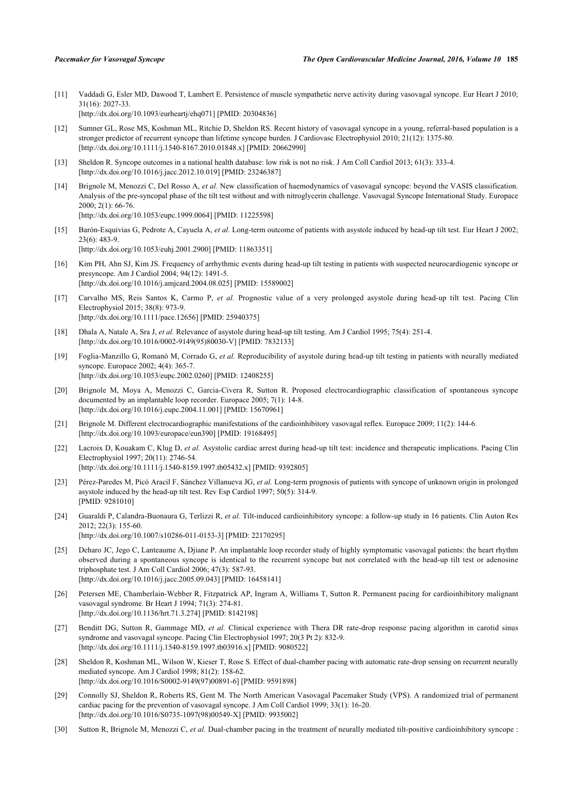<span id="page-6-0"></span>[11] Vaddadi G, Esler MD, Dawood T, Lambert E. Persistence of muscle sympathetic nerve activity during vasovagal syncope. Eur Heart J 2010; 31(16): 2027-33.

[\[http://dx.doi.org/10.1093/eurheartj/ehq071](http://dx.doi.org/10.1093/eurheartj/ehq071)] [PMID: [20304836\]](http://www.ncbi.nlm.nih.gov/pubmed/20304836)

- <span id="page-6-1"></span>[12] Sumner GL, Rose MS, Koshman ML, Ritchie D, Sheldon RS. Recent history of vasovagal syncope in a young, referral-based population is a stronger predictor of recurrent syncope than lifetime syncope burden. J Cardiovasc Electrophysiol 2010; 21(12): 1375-80. [\[http://dx.doi.org/10.1111/j.1540-8167.2010.01848.x\]](http://dx.doi.org/10.1111/j.1540-8167.2010.01848.x) [PMID: [20662990](http://www.ncbi.nlm.nih.gov/pubmed/20662990)]
- <span id="page-6-2"></span>[13] Sheldon R. Syncope outcomes in a national health database: low risk is not no risk. J Am Coll Cardiol 2013; 61(3): 333-4. [\[http://dx.doi.org/10.1016/j.jacc.2012.10.019\]](http://dx.doi.org/10.1016/j.jacc.2012.10.019) [PMID: [23246387](http://www.ncbi.nlm.nih.gov/pubmed/23246387)]
- <span id="page-6-3"></span>[14] Brignole M, Menozzi C, Del Rosso A, *et al.* New classification of haemodynamics of vasovagal syncope: beyond the VASIS classification. Analysis of the pre-syncopal phase of the tilt test without and with nitroglycerin challenge. Vasovagal Syncope International Study. Europace 2000; 2(1): 66-76. [\[http://dx.doi.org/10.1053/eupc.1999.0064\]](http://dx.doi.org/10.1053/eupc.1999.0064) [PMID: [11225598](http://www.ncbi.nlm.nih.gov/pubmed/11225598)]
- <span id="page-6-4"></span>[15] Barón-Esquivias G, Pedrote A, Cayuela A, *et al.* Long-term outcome of patients with asystole induced by head-up tilt test. Eur Heart J 2002; 23(6): 483-9. [\[http://dx.doi.org/10.1053/euhj.2001.2900\]](http://dx.doi.org/10.1053/euhj.2001.2900) [PMID: [11863351](http://www.ncbi.nlm.nih.gov/pubmed/11863351)]
- [16] Kim PH, Ahn SJ, Kim JS. Frequency of arrhythmic events during head-up tilt testing in patients with suspected neurocardiogenic syncope or presyncope. Am J Cardiol 2004; 94(12): 1491-5. [\[http://dx.doi.org/10.1016/j.amjcard.2004.08.025\]](http://dx.doi.org/10.1016/j.amjcard.2004.08.025) [PMID: [15589002](http://www.ncbi.nlm.nih.gov/pubmed/15589002)]
- <span id="page-6-5"></span>[17] Carvalho MS, Reis Santos K, Carmo P, *et al.* Prognostic value of a very prolonged asystole during head-up tilt test. Pacing Clin Electrophysiol 2015; 38(8): 973-9. [\[http://dx.doi.org/10.1111/pace.12656](http://dx.doi.org/10.1111/pace.12656)] [PMID: [25940375](http://www.ncbi.nlm.nih.gov/pubmed/25940375)]
- <span id="page-6-6"></span>[18] Dhala A, Natale A, Sra J, *et al.* Relevance of asystole during head-up tilt testing. Am J Cardiol 1995; 75(4): 251-4. [\[http://dx.doi.org/10.1016/0002-9149\(95\)80030-V](http://dx.doi.org/10.1016/0002-9149(95)80030-V)] [PMID: [7832133\]](http://www.ncbi.nlm.nih.gov/pubmed/7832133)
- <span id="page-6-7"></span>[19] Foglia-Manzillo G, Romanò M, Corrado G, *et al.* Reproducibility of asystole during head-up tilt testing in patients with neurally mediated syncope. Europace 2002; 4(4): 365-7. [\[http://dx.doi.org/10.1053/eupc.2002.0260\]](http://dx.doi.org/10.1053/eupc.2002.0260) [PMID: [12408255](http://www.ncbi.nlm.nih.gov/pubmed/12408255)]
- <span id="page-6-8"></span>[20] Brignole M, Moya A, Menozzi C, Garcia-Civera R, Sutton R. Proposed electrocardiographic classification of spontaneous syncope documented by an implantable loop recorder. Europace 2005; 7(1): 14-8. [\[http://dx.doi.org/10.1016/j.eupc.2004.11.001](http://dx.doi.org/10.1016/j.eupc.2004.11.001)] [PMID: [15670961\]](http://www.ncbi.nlm.nih.gov/pubmed/15670961)
- <span id="page-6-9"></span>[21] Brignole M. Different electrocardiographic manifestations of the cardioinhibitory vasovagal reflex. Europace 2009; 11(2): 144-6. [\[http://dx.doi.org/10.1093/europace/eun390](http://dx.doi.org/10.1093/europace/eun390)] [PMID: [19168495](http://www.ncbi.nlm.nih.gov/pubmed/19168495)]
- <span id="page-6-10"></span>[22] Lacroix D, Kouakam C, Klug D, *et al.* Asystolic cardiac arrest during head-up tilt test: incidence and therapeutic implications. Pacing Clin Electrophysiol 1997; 20(11): 2746-54. [\[http://dx.doi.org/10.1111/j.1540-8159.1997.tb05432.x\]](http://dx.doi.org/10.1111/j.1540-8159.1997.tb05432.x) [PMID: [9392805](http://www.ncbi.nlm.nih.gov/pubmed/9392805)]
- <span id="page-6-11"></span>[23] Pérez-Paredes M, Picó Aracil F, Sánchez Villanueva JG, *et al.* Long-term prognosis of patients with syncope of unknown origin in prolonged asystole induced by the head-up tilt test. Rev Esp Cardiol 1997; 50(5): 314-9. [PMID: [9281010\]](http://www.ncbi.nlm.nih.gov/pubmed/9281010)
- <span id="page-6-12"></span>[24] Guaraldi P, Calandra-Buonaura G, Terlizzi R, *et al.* Tilt-induced cardioinhibitory syncope: a follow-up study in 16 patients. Clin Auton Res 2012; 22(3): 155-60. [\[http://dx.doi.org/10.1007/s10286-011-0153-3\]](http://dx.doi.org/10.1007/s10286-011-0153-3) [PMID: [22170295](http://www.ncbi.nlm.nih.gov/pubmed/22170295)]
- <span id="page-6-13"></span>[25] Deharo JC, Jego C, Lanteaume A, Djiane P. An implantable loop recorder study of highly symptomatic vasovagal patients: the heart rhythm observed during a spontaneous syncope is identical to the recurrent syncope but not correlated with the head-up tilt test or adenosine triphosphate test. J Am Coll Cardiol 2006; 47(3): 587-93. [\[http://dx.doi.org/10.1016/j.jacc.2005.09.043\]](http://dx.doi.org/10.1016/j.jacc.2005.09.043) [PMID: [16458141](http://www.ncbi.nlm.nih.gov/pubmed/16458141)]
- <span id="page-6-14"></span>[26] Petersen ME, Chamberlain-Webber R, Fitzpatrick AP, Ingram A, Williams T, Sutton R. Permanent pacing for cardioinhibitory malignant vasovagal syndrome. Br Heart J 1994; 71(3): 274-81. [\[http://dx.doi.org/10.1136/hrt.71.3.274\]](http://dx.doi.org/10.1136/hrt.71.3.274) [PMID: [8142198](http://www.ncbi.nlm.nih.gov/pubmed/8142198)]
- [27] Benditt DG, Sutton R, Gammage MD, *et al.* Clinical experience with Thera DR rate-drop response pacing algorithm in carotid sinus syndrome and vasovagal syncope. Pacing Clin Electrophysiol 1997; 20(3 Pt 2): 832-9. [\[http://dx.doi.org/10.1111/j.1540-8159.1997.tb03916.x\]](http://dx.doi.org/10.1111/j.1540-8159.1997.tb03916.x) [PMID: [9080522](http://www.ncbi.nlm.nih.gov/pubmed/9080522)]
- <span id="page-6-15"></span>[28] Sheldon R, Koshman ML, Wilson W, Kieser T, Rose S. Effect of dual-chamber pacing with automatic rate-drop sensing on recurrent neurally mediated syncope. Am J Cardiol 1998; 81(2): 158-62. [\[http://dx.doi.org/10.1016/S0002-9149\(97\)00891-6\]](http://dx.doi.org/10.1016/S0002-9149(97)00891-6) [PMID: [9591898](http://www.ncbi.nlm.nih.gov/pubmed/9591898)]
- <span id="page-6-16"></span>[29] Connolly SJ, Sheldon R, Roberts RS, Gent M. The North American Vasovagal Pacemaker Study (VPS). A randomized trial of permanent cardiac pacing for the prevention of vasovagal syncope. J Am Coll Cardiol 1999; 33(1): 16-20. [\[http://dx.doi.org/10.1016/S0735-1097\(98\)00549-X\]](http://dx.doi.org/10.1016/S0735-1097(98)00549-X) [PMID: [9935002](http://www.ncbi.nlm.nih.gov/pubmed/9935002)]
- <span id="page-6-17"></span>[30] Sutton R, Brignole M, Menozzi C, *et al.* Dual-chamber pacing in the treatment of neurally mediated tilt-positive cardioinhibitory syncope :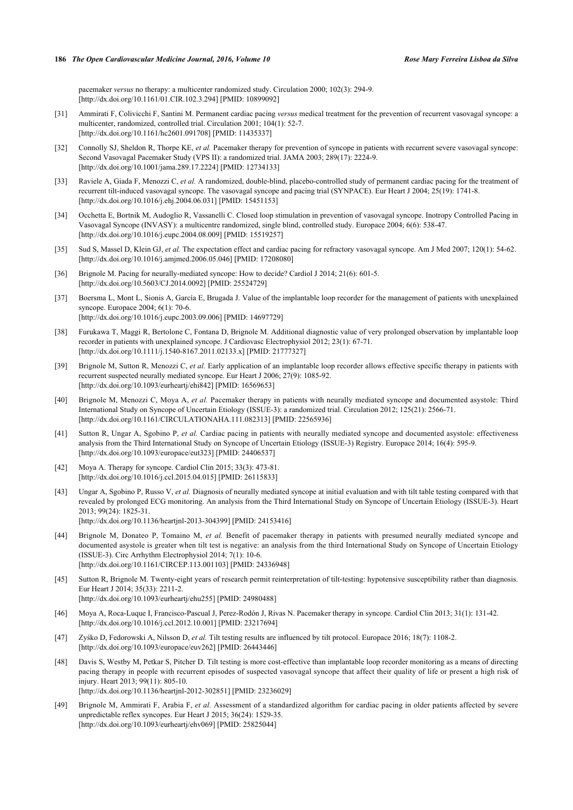pacemaker *versus* no therapy: a multicenter randomized study. Circulation 2000; 102(3): 294-9. [\[http://dx.doi.org/10.1161/01.CIR.102.3.294](http://dx.doi.org/10.1161/01.CIR.102.3.294)] [PMID: [10899092\]](http://www.ncbi.nlm.nih.gov/pubmed/10899092)

- <span id="page-7-0"></span>[31] Ammirati F, Colivicchi F, Santini M. Permanent cardiac pacing *versus* medical treatment for the prevention of recurrent vasovagal syncope: a multicenter, randomized, controlled trial. Circulation 2001; 104(1): 52-7. [\[http://dx.doi.org/10.1161/hc2601.091708](http://dx.doi.org/10.1161/hc2601.091708)] [PMID: [11435337\]](http://www.ncbi.nlm.nih.gov/pubmed/11435337)
- <span id="page-7-1"></span>[32] Connolly SJ, Sheldon R, Thorpe KE, *et al.* Pacemaker therapy for prevention of syncope in patients with recurrent severe vasovagal syncope: Second Vasovagal Pacemaker Study (VPS II): a randomized trial. JAMA 2003; 289(17): 2224-9. [\[http://dx.doi.org/10.1001/jama.289.17.2224](http://dx.doi.org/10.1001/jama.289.17.2224)] [PMID: [12734133\]](http://www.ncbi.nlm.nih.gov/pubmed/12734133)
- <span id="page-7-2"></span>[33] Raviele A, Giada F, Menozzi C, *et al.* A randomized, double-blind, placebo-controlled study of permanent cardiac pacing for the treatment of recurrent tilt-induced vasovagal syncope. The vasovagal syncope and pacing trial (SYNPACE). Eur Heart J 2004; 25(19): 1741-8. [\[http://dx.doi.org/10.1016/j.ehj.2004.06.031\]](http://dx.doi.org/10.1016/j.ehj.2004.06.031) [PMID: [15451153](http://www.ncbi.nlm.nih.gov/pubmed/15451153)]
- <span id="page-7-3"></span>[34] Occhetta E, Bortnik M, Audoglio R, Vassanelli C. Closed loop stimulation in prevention of vasovagal syncope. Inotropy Controlled Pacing in Vasovagal Syncope (INVASY): a multicentre randomized, single blind, controlled study. Europace 2004; 6(6): 538-47. [\[http://dx.doi.org/10.1016/j.eupc.2004.08.009](http://dx.doi.org/10.1016/j.eupc.2004.08.009)] [PMID: [15519257\]](http://www.ncbi.nlm.nih.gov/pubmed/15519257)
- <span id="page-7-4"></span>[35] Sud S, Massel D, Klein GJ, *et al.* The expectation effect and cardiac pacing for refractory vasovagal syncope. Am J Med 2007; 120(1): 54-62. [\[http://dx.doi.org/10.1016/j.amjmed.2006.05.046\]](http://dx.doi.org/10.1016/j.amjmed.2006.05.046) [PMID: [17208080](http://www.ncbi.nlm.nih.gov/pubmed/17208080)]
- <span id="page-7-5"></span>[36] Brignole M. Pacing for neurally-mediated syncope: How to decide? Cardiol J 2014; 21(6): 601-5. [\[http://dx.doi.org/10.5603/CJ.2014.0092](http://dx.doi.org/10.5603/CJ.2014.0092)] [PMID: [25524729\]](http://www.ncbi.nlm.nih.gov/pubmed/25524729)
- <span id="page-7-6"></span>[37] Boersma L, Mont L, Sionis A, García E, Brugada J. Value of the implantable loop recorder for the management of patients with unexplained syncope. Europace 2004; 6(1): 70-6. [\[http://dx.doi.org/10.1016/j.eupc.2003.09.006](http://dx.doi.org/10.1016/j.eupc.2003.09.006)] [PMID: [14697729\]](http://www.ncbi.nlm.nih.gov/pubmed/14697729)
- <span id="page-7-7"></span>[38] Furukawa T, Maggi R, Bertolone C, Fontana D, Brignole M. Additional diagnostic value of very prolonged observation by implantable loop recorder in patients with unexplained syncope. J Cardiovasc Electrophysiol 2012; 23(1): 67-71. [\[http://dx.doi.org/10.1111/j.1540-8167.2011.02133.x\]](http://dx.doi.org/10.1111/j.1540-8167.2011.02133.x) [PMID: [21777327](http://www.ncbi.nlm.nih.gov/pubmed/21777327)]
- <span id="page-7-8"></span>[39] Brignole M, Sutton R, Menozzi C, *et al.* Early application of an implantable loop recorder allows effective specific therapy in patients with recurrent suspected neurally mediated syncope. Eur Heart J 2006; 27(9): 1085-92. [\[http://dx.doi.org/10.1093/eurheartj/ehi842](http://dx.doi.org/10.1093/eurheartj/ehi842)] [PMID: [16569653\]](http://www.ncbi.nlm.nih.gov/pubmed/16569653)
- <span id="page-7-9"></span>[40] Brignole M, Menozzi C, Moya A, *et al.* Pacemaker therapy in patients with neurally mediated syncope and documented asystole: Third International Study on Syncope of Uncertain Etiology (ISSUE-3): a randomized trial. Circulation 2012; 125(21): 2566-71. [\[http://dx.doi.org/10.1161/CIRCULATIONAHA.111.082313](http://dx.doi.org/10.1161/CIRCULATIONAHA.111.082313)] [PMID: [22565936\]](http://www.ncbi.nlm.nih.gov/pubmed/22565936)
- <span id="page-7-10"></span>[41] Sutton R, Ungar A, Sgobino P, *et al.* Cardiac pacing in patients with neurally mediated syncope and documented asystole: effectiveness analysis from the Third International Study on Syncope of Uncertain Etiology (ISSUE-3) Registry. Europace 2014; 16(4): 595-9. [\[http://dx.doi.org/10.1093/europace/eut323\]](http://dx.doi.org/10.1093/europace/eut323) [PMID: [24406537](http://www.ncbi.nlm.nih.gov/pubmed/24406537)]
- <span id="page-7-11"></span>[42] Moya A. Therapy for syncope. Cardiol Clin 2015; 33(3): 473-81. [\[http://dx.doi.org/10.1016/j.ccl.2015.04.015](http://dx.doi.org/10.1016/j.ccl.2015.04.015)] [PMID: [26115833\]](http://www.ncbi.nlm.nih.gov/pubmed/26115833)
- <span id="page-7-12"></span>[43] Ungar A, Sgobino P, Russo V, *et al.* Diagnosis of neurally mediated syncope at initial evaluation and with tilt table testing compared with that revealed by prolonged ECG monitoring. An analysis from the Third International Study on Syncope of Uncertain Etiology (ISSUE-3). Heart 2013; 99(24): 1825-31. [\[http://dx.doi.org/10.1136/heartjnl-2013-304399\]](http://dx.doi.org/10.1136/heartjnl-2013-304399) [PMID: [24153416](http://www.ncbi.nlm.nih.gov/pubmed/24153416)]
- <span id="page-7-13"></span>[44] Brignole M, Donateo P, Tomaino M, *et al.* Benefit of pacemaker therapy in patients with presumed neurally mediated syncope and documented asystole is greater when tilt test is negative: an analysis from the third International Study on Syncope of Uncertain Etiology (ISSUE-3). Circ Arrhythm Electrophysiol 2014; 7(1): 10-6. [\[http://dx.doi.org/10.1161/CIRCEP.113.001103\]](http://dx.doi.org/10.1161/CIRCEP.113.001103) [PMID: [24336948](http://www.ncbi.nlm.nih.gov/pubmed/24336948)]
- <span id="page-7-14"></span>[45] Sutton R, Brignole M. Twenty-eight years of research permit reinterpretation of tilt-testing: hypotensive susceptibility rather than diagnosis. Eur Heart J 2014; 35(33): 2211-2. [\[http://dx.doi.org/10.1093/eurheartj/ehu255](http://dx.doi.org/10.1093/eurheartj/ehu255)] [PMID: [24980488\]](http://www.ncbi.nlm.nih.gov/pubmed/24980488)
- <span id="page-7-15"></span>[46] Moya A, Roca-Luque I, Francisco-Pascual J, Perez-Rodón J, Rivas N. Pacemaker therapy in syncope. Cardiol Clin 2013; 31(1): 131-42. [\[http://dx.doi.org/10.1016/j.ccl.2012.10.001](http://dx.doi.org/10.1016/j.ccl.2012.10.001)] [PMID: [23217694\]](http://www.ncbi.nlm.nih.gov/pubmed/23217694)
- <span id="page-7-16"></span>[47] Zyśko D, Fedorowski A, Nilsson D, *et al.* Tilt testing results are influenced by tilt protocol. Europace 2016; 18(7): 1108-2. [\[http://dx.doi.org/10.1093/europace/euv262](http://dx.doi.org/10.1093/europace/euv262)] [PMID: [26443446](http://www.ncbi.nlm.nih.gov/pubmed/26443446)]
- <span id="page-7-17"></span>[48] Davis S, Westby M, Petkar S, Pitcher D. Tilt testing is more cost-effective than implantable loop recorder monitoring as a means of directing pacing therapy in people with recurrent episodes of suspected vasovagal syncope that affect their quality of life or present a high risk of injury. Heart 2013; 99(11): 805-10. [\[http://dx.doi.org/10.1136/heartjnl-2012-302851\]](http://dx.doi.org/10.1136/heartjnl-2012-302851) [PMID: [23236029](http://www.ncbi.nlm.nih.gov/pubmed/23236029)]
- <span id="page-7-18"></span>[49] Brignole M, Ammirati F, Arabia F, *et al.* Assessment of a standardized algorithm for cardiac pacing in older patients affected by severe unpredictable reflex syncopes. Eur Heart J 2015; 36(24): 1529-35. [\[http://dx.doi.org/10.1093/eurheartj/ehv069](http://dx.doi.org/10.1093/eurheartj/ehv069)] [PMID: [25825044\]](http://www.ncbi.nlm.nih.gov/pubmed/25825044)